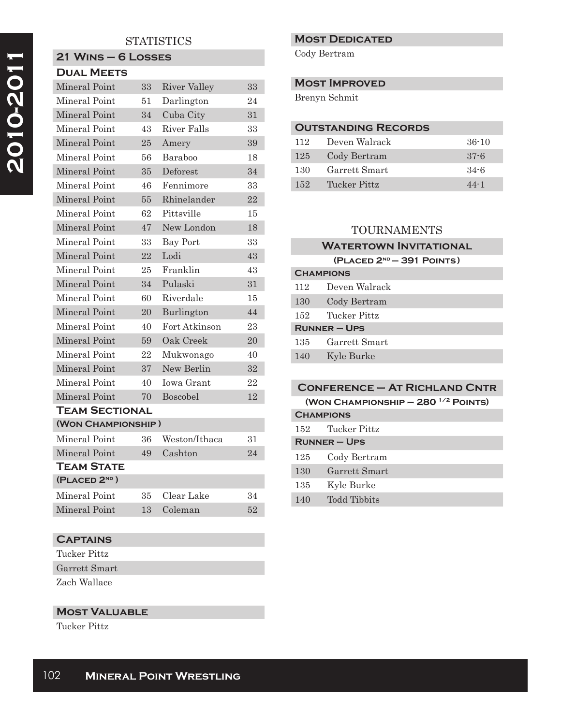# 2010-2011  **2010-2011**

## **STATISTICS**

## **21 Wins – 6 Losses Dual Meets**

| Mineral Point         |                    | 33 | <b>River Valley</b> | 33 |  |
|-----------------------|--------------------|----|---------------------|----|--|
| Mineral Point         |                    | 51 | Darlington          | 24 |  |
| Mineral Point         |                    | 34 | Cuba City           | 31 |  |
| Mineral Point         |                    | 43 | <b>River Falls</b>  | 33 |  |
| Mineral Point         |                    | 25 | Amery               | 39 |  |
| Mineral Point         |                    | 56 | Baraboo             | 18 |  |
| Mineral Point         |                    | 35 | Deforest            | 34 |  |
| Mineral Point         |                    | 46 | Fennimore           | 33 |  |
| Mineral Point         |                    | 55 | Rhinelander         | 22 |  |
| Mineral Point         |                    | 62 | Pittsville          | 15 |  |
| Mineral Point         |                    | 47 | New London          | 18 |  |
| Mineral Point         |                    | 33 | Bay Port            | 33 |  |
| Mineral Point         |                    | 22 | Lodi                | 43 |  |
| Mineral Point         |                    | 25 | Franklin            | 43 |  |
| Mineral Point         |                    | 34 | Pulaski             | 31 |  |
| Mineral Point         |                    | 60 | Riverdale           | 15 |  |
| Mineral Point         |                    | 20 | Burlington          | 44 |  |
| Mineral Point         |                    | 40 | Fort Atkinson       | 23 |  |
| Mineral Point         |                    | 59 | Oak Creek           | 20 |  |
| Mineral Point         |                    | 22 | Mukwonago           | 40 |  |
| Mineral Point         |                    | 37 | New Berlin          | 32 |  |
| Mineral Point         |                    | 40 | <b>Iowa Grant</b>   | 22 |  |
| Mineral Point         |                    | 70 | Boscobel            | 12 |  |
| <b>TEAM SECTIONAL</b> |                    |    |                     |    |  |
|                       | (WON CHAMPIONSHIP) |    |                     |    |  |
| Mineral Point         |                    | 36 | Weston/Ithaca       | 31 |  |
| Mineral Point         |                    | 49 | Cashton             | 24 |  |
| TEAM STATE            |                    |    |                     |    |  |
| (PLACED 2ND)          |                    |    |                     |    |  |
| Mineral Point         |                    | 35 | Clear Lake          | 34 |  |
| Mineral Point         |                    | 13 | Coleman             | 52 |  |

## **Captains**

Tucker Pittz Garrett Smart Zach Wallace

**Most Valuable**

Tucker Pittz

#### **Most Dedicated**

Cody Bertram

#### **Most Improved**

Brenyn Schmit

## **Outstanding Records**

| 112 | Deven Walrack | $36-10$  |
|-----|---------------|----------|
| 125 | Cody Bertram  | $37 - 6$ |
| 130 | Garrett Smart | $34 - 6$ |
| 152 | Tucker Pittz  | $44 - 1$ |

### TOURNAMENTS

#### **WATERTOWN INVITATIONAL**

#### **(Placed 2nd – 391 Points)**

| <b>CHAMPIONS</b>    |               |  |
|---------------------|---------------|--|
| 112                 | Deven Walrack |  |
| 130                 | Cody Bertram  |  |
| 152                 | Tucker Pittz  |  |
| <b>RUNNER - UPS</b> |               |  |
| 135                 | Garrett Smart |  |
| 140                 | Kyle Burke    |  |

# **Conference – At Richland Cntr**

**(Won Championship – 280 1/2 Points)** 

| <b>CHAMPIONS</b>    |               |  |
|---------------------|---------------|--|
| 152                 | Tucker Pittz  |  |
| <b>RUNNER - UPS</b> |               |  |
| 125                 | Cody Bertram  |  |
| 130                 | Garrett Smart |  |
| 135                 | Kyle Burke    |  |
| 140                 | Todd Tibbits  |  |
|                     |               |  |